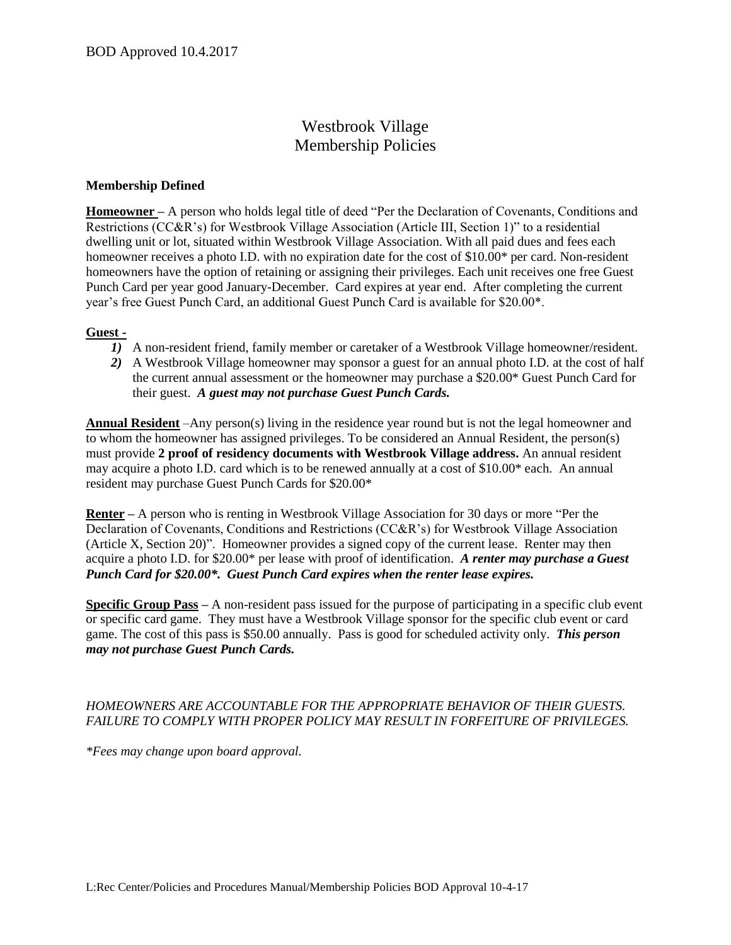## Westbrook Village Membership Policies

## **Membership Defined**

**Homeowner –** A person who holds legal title of deed "Per the Declaration of Covenants, Conditions and Restrictions (CC&R's) for Westbrook Village Association (Article III, Section 1)" to a residential dwelling unit or lot, situated within Westbrook Village Association. With all paid dues and fees each homeowner receives a photo I.D. with no expiration date for the cost of \$10.00\* per card. Non-resident homeowners have the option of retaining or assigning their privileges. Each unit receives one free Guest Punch Card per year good January-December. Card expires at year end. After completing the current year's free Guest Punch Card, an additional Guest Punch Card is available for \$20.00\*.

## **Guest -**

- *1)* A non-resident friend, family member or caretaker of a Westbrook Village homeowner/resident.
- *2)* A Westbrook Village homeowner may sponsor a guest for an annual photo I.D. at the cost of half the current annual assessment or the homeowner may purchase a \$20.00\* Guest Punch Card for their guest. *A guest may not purchase Guest Punch Cards.*

**Annual Resident** –Any person(s) living in the residence year round but is not the legal homeowner and to whom the homeowner has assigned privileges. To be considered an Annual Resident, the person(s) must provide **2 proof of residency documents with Westbrook Village address.** An annual resident may acquire a photo I.D. card which is to be renewed annually at a cost of \$10.00\* each. An annual resident may purchase Guest Punch Cards for \$20.00\*

**Renter –** A person who is renting in Westbrook Village Association for 30 days or more "Per the Declaration of Covenants, Conditions and Restrictions (CC&R's) for Westbrook Village Association (Article X, Section 20)". Homeowner provides a signed copy of the current lease. Renter may then acquire a photo I.D. for \$20.00\* per lease with proof of identification. *A renter may purchase a Guest Punch Card for \$20.00\*. Guest Punch Card expires when the renter lease expires.*

**Specific Group Pass –** A non-resident pass issued for the purpose of participating in a specific club event or specific card game. They must have a Westbrook Village sponsor for the specific club event or card game. The cost of this pass is \$50.00 annually. Pass is good for scheduled activity only.*This person may not purchase Guest Punch Cards.*

## *HOMEOWNERS ARE ACCOUNTABLE FOR THE APPROPRIATE BEHAVIOR OF THEIR GUESTS. FAILURE TO COMPLY WITH PROPER POLICY MAY RESULT IN FORFEITURE OF PRIVILEGES.*

*\*Fees may change upon board approval.*